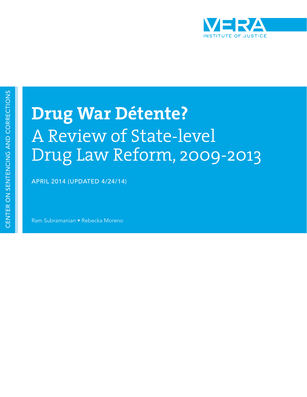

# **Drug War Détente?**  A Review of State-level Drug Law Reform, 2009-2013

APRIL 2014 (UPDATED 4/24/14)

Ram Subramanian • Rebecka Moreno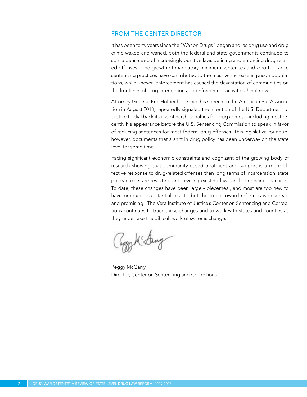#### FROM THE CENTER DIRECTOR

It has been forty years since the "War on Drugs" began and, as drug use and drug crime waxed and waned, both the federal and state governments continued to spin a dense web of increasingly punitive laws defining and enforcing drug-related offenses. The growth of mandatory minimum sentences and zero-tolerance sentencing practices have contributed to the massive increase in prison populations, while uneven enforcement has caused the devastation of communities on the frontlines of drug interdiction and enforcement activities. Until now.

Attorney General Eric Holder has, since his speech to the American Bar Association in August 2013, repeatedly signaled the intention of the U.S. Department of Justice to dial back its use of harsh penalties for drug crimes—including most recently his appearance before the U.S. Sentencing Commission to speak in favor of reducing sentences for most federal drug offenses. This legislative roundup, however, documents that a shift in drug policy has been underway on the state level for some time.

Facing significant economic constraints and cognizant of the growing body of research showing that community-based treatment and support is a more effective response to drug-related offenses than long terms of incarceration, state policymakers are revisiting and revising existing laws and sentencing practices. To date, these changes have been largely piecemeal, and most are too new to have produced substantial results, but the trend toward reform is widespread and promising. The Vera Institute of Justice's Center on Sentencing and Corrections continues to track these changes and to work with states and counties as they undertake the difficult work of systems change.

Paggy M' Sang

Peggy McGarry Director, Center on Sentencing and Corrections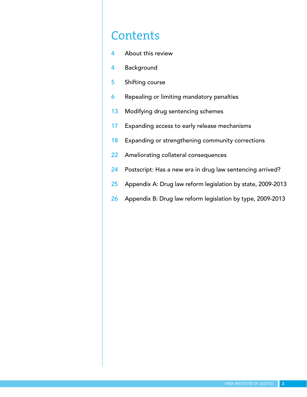### **Contents**

- 4 About this review
- 4 Background
- 5 Shifting course
- **6** Repealing or limiting mandatory penalties
- 13 Modifying drug sentencing schemes
- 17 Expanding access to early release mechanisms
- 18 Expanding or strengthening community corrections
- 22 Ameliorating collateral consequences
- 24 Postscript: Has a new era in drug law sentencing arrived?
- 25 Appendix A: Drug law reform legislation by state, 2009-2013
- 26 Appendix B: Drug law reform legislation by type, 2009-2013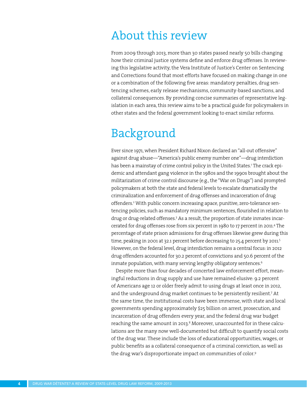### About this review

From 2009 through 2013, more than 30 states passed nearly 50 bills changing how their criminal justice systems define and enforce drug offenses. In reviewing this legislative activity, the Vera Institute of Justice's Center on Sentencing and Corrections found that most efforts have focused on making change in one or a combination of the following five areas: mandatory penalties, drug sentencing schemes, early release mechanisms, community-based sanctions, and collateral consequences. By providing concise summaries of representative legislation in each area, this review aims to be a practical guide for policymakers in other states and the federal government looking to enact similar reforms.

### Background

Ever since 1971, when President Richard Nixon declared an "all-out offensive" against drug abuse—"America's public enemy number one"—drug interdiction has been a mainstay of crime control policy in the United States.<sup>1</sup> The crack epidemic and attendant gang violence in the 1980s and the 1990s brought about the militarization of crime control discourse (e.g., the "War on Drugs") and prompted policymakers at both the state and federal levels to escalate dramatically the criminalization and enforcement of drug offenses and incarceration of drug offenders.<sup>2</sup> With public concern increasing apace, punitive, zero-tolerance sentencing policies, such as mandatory minimum sentences, flourished in relation to drug or drug-related offenses.<sup>3</sup> As a result, the proportion of state inmates incarcerated for drug offenses rose from six percent in 1980 to 17 percent in 2011.<sup>4</sup> The percentage of state prison admissions for drug offenses likewise grew during this time, peaking in 2001 at 32.1 percent before decreasing to 25.4 percent by 2011.<sup>5</sup> However, on the federal level, drug interdiction remains a central focus: in 2012 drug offenders accounted for 30.2 percent of convictions and 50.6 percent of the inmate population, with many serving lengthy obligatory sentences.<sup>6</sup>

Despite more than four decades of concerted law enforcement effort, meaningful reductions in drug supply and use have remained elusive: 9.2 percent of Americans age 12 or older freely admit to using drugs at least once in 2012, and the underground drug market continues to be persistently resilient.7 At the same time, the institutional costs have been immense, with state and local governments spending approximately \$25 billion on arrest, prosecution, and incarceration of drug offenders every year, and the federal drug war budget reaching the same amount in 2013.<sup>8</sup> Moreover, unaccounted for in these calculations are the many now well-documented but difficult to quantify social costs of the drug war. These include the loss of educational opportunities, wages, or public benefits as a collateral consequence of a criminal conviction, as well as the drug war's disproportionate impact on communities of color.<sup>9</sup>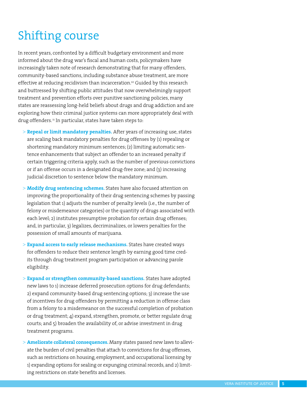# Shifting course

In recent years, confronted by a difficult budgetary environment and more informed about the drug war's fiscal and human costs, policymakers have increasingly taken note of research demonstrating that for many offenders, community-based sanctions, including substance abuse treatment, are more effective at reducing recidivism than incarceration.<sup>10</sup> Guided by this research and buttressed by shifting public attitudes that now overwhelmingly support treatment and prevention efforts over punitive sanctioning policies, many states are reassessing long-held beliefs about drugs and drug addiction and are exploring how their criminal justice systems can more appropriately deal with drug offenders.<sup>11</sup> In particular, states have taken steps to:

- > **Repeal or limit mandatory penalties.** After years of increasing use, states are scaling back mandatory penalties for drug offenses by (1) repealing or shortening mandatory minimum sentences; (2) limiting automatic sentence enhancements that subject an offender to an increased penalty if certain triggering criteria apply, such as the number of previous convictions or if an offense occurs in a designated drug-free zone; and (3) increasing judicial discretion to sentence below the mandatory minimum.
- > **Modify drug sentencing schemes.** States have also focused attention on improving the proportionality of their drug sentencing schemes by passing legislation that 1) adjusts the number of penalty levels (i.e., the number of felony or misdemeanor categories) or the quantity of drugs associated with each level; 2) institutes presumptive probation for certain drug offenses; and, in particular, 3) legalizes, decriminalizes, or lowers penalties for the possession of small amounts of marijuana.
- > **Expand access to early release mechanisms.** States have created ways for offenders to reduce their sentence length by earning good time credits through drug treatment program participation or advancing parole eligibility.
- > **Expand or strengthen community-based sanctions.** States have adopted new laws to 1) increase deferred prosecution options for drug defendants; 2) expand community-based drug sentencing options; 3) increase the use of incentives for drug offenders by permitting a reduction in offense class from a felony to a misdemeanor on the successful completion of probation or drug treatment; 4) expand, strengthen, promote, or better regulate drug courts; and 5) broaden the availability of, or advise investment in drug treatment programs.
- > **Ameliorate collateral consequences.** Many states passed new laws to alleviate the burden of civil penalties that attach to convictions for drug offenses, such as restrictions on housing, employment, and occupational licensing by 1) expanding options for sealing or expunging criminal records, and 2) limiting restrictions on state benefits and licenses.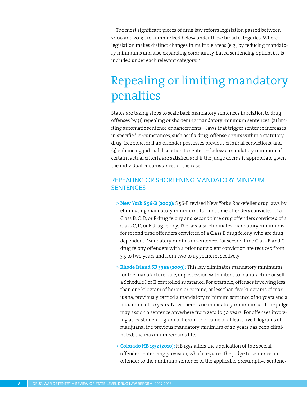The most significant pieces of drug law reform legislation passed between 2009 and 2013 are summarized below under these broad categories. Where legislation makes distinct changes in multiple areas (e.g., by reducing mandatory minimums and also expanding community-based sentencing options), it is included under each relevant category.<sup>12</sup>

## Repealing or limiting mandatory penalties

States are taking steps to scale back mandatory sentences in relation to drug offenses by (1) repealing or shortening mandatory minimum sentences; (2) limiting automatic sentence enhancements—laws that trigger sentence increases in specified circumstances, such as if a drug offense occurs within a statutory drug-free zone, or if an offender possesses previous criminal convictions; and (3) enhancing judicial discretion to sentence below a mandatory minimum if certain factual criteria are satisfied and if the judge deems it appropriate given the individual circumstances of the case.

#### REPEALING OR SHORTENING MANDATORY MINIMUM **SENTENCES**

- > **New York S 56-B (2009):** S 56-B revised New York's Rockefeller drug laws by eliminating mandatory minimums for first time offenders convicted of a Class B, C, D, or E drug felony and second time drug offenders convicted of a Class C, D, or E drug felony. The law also eliminates mandatory minimums for second time offenders convicted of a Class B drug felony who are drug dependent. Mandatory minimum sentences for second time Class B and C drug felony offenders with a prior nonviolent conviction are reduced from 3.5 to two years and from two to 1.5 years, respectively.
- > **Rhode Island SB 39aa (2009):** This law eliminates mandatory minimums for the manufacture, sale, or possession with intent to manufacture or sell a Schedule I or II controlled substance. For example, offenses involving less than one kilogram of heroin or cocaine, or less than five kilograms of marijuana, previously carried a mandatory minimum sentence of 10 years and a maximum of 50 years. Now, there is no mandatory minimum and the judge may assign a sentence anywhere from zero to 50 years. For offenses involving at least one kilogram of heroin or cocaine or at least five kilograms of marijuana, the previous mandatory minimum of 20 years has been eliminated; the maximum remains life.
- > **Colorado HB 1352 (2010):** HB 1352 alters the application of the special offender sentencing provision, which requires the judge to sentence an offender to the minimum sentence of the applicable presumptive sentenc-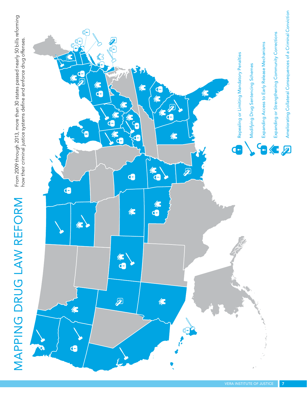

From 2009 through 2013, more than 30 states passed nearly 50 bills reforming<br>how their criminal justice systems define and enforce drug offenses.

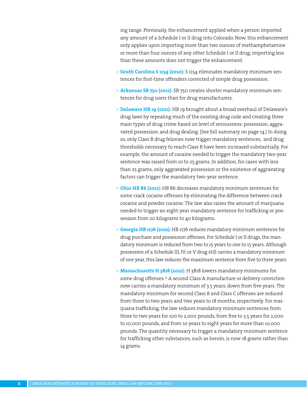ing range. Previously, the enhancement applied when a person imported any amount of a Schedule I or II drug into Colorado. Now, this enhancement only applies upon importing more than two ounces of methamphetamine or more than four ounces of any other Schedule I or II drug; importing less than these amounts does not trigger the enhancement.

- > **South Carolina S 1154 (2010):** S 1154 eliminates mandatory minimum sentences for first-time offenders convicted of simple drug possession.
- > **Arkansas SB 750 (2011):** SB 750 creates shorter mandatory minimum sentences for drug users than for drug manufacturers.
- > **Delaware HB 19 (2011):** HB 19 brought about a broad overhaul of Delaware's drug laws by repealing much of the existing drug code and creating three main types of drug crime based on level of seriousness: possession, aggravated possession, and drug dealing. (See bill summary on page 14.) In doing so, only Class B drug felonies now trigger mandatory sentences, and drug thresholds necessary to reach Class B have been increased substantially. For example, the amount of cocaine needed to trigger the mandatory two-year sentence was raised from 10 to 25 grams. In addition, for cases with less than 25 grams, only aggravated possession or the existence of aggravating factors can trigger the mandatory two-year sentence.
- > **Ohio HB 86 (2011):** HB 86 decreases mandatory minimum sentences for some crack cocaine offenses by eliminating the difference between crack cocaine and powder cocaine. The law also raises the amount of marijuana needed to trigger an eight-year mandatory sentence for trafficking or possession from 20 kilograms to 40 kilograms.
- > **Georgia HB 1176 (2012):** HB 1176 reduces mandatory minimum sentences for drug purchase and possession offenses. For Schedule I or II drugs, the mandatory minimum is reduced from two to 15 years to one to 15 years. Although possession of a Schedule III, IV, or V drug still carries a mandatory minimum of one year, this law reduces the maximum sentence from five to three years.
- > **Massachusetts H 3818 (2012):** H 3818 lowers mandatory minimums for some drug offenses.<sup>13</sup> A second Class A manufacture or delivery conviction now carries a mandatory minimum of 3.5 years, down from five years. The mandatory minimum for second Class B and Class C offenses are reduced from three to two years and two years to 18 months, respectively. For marijuana trafficking, the law reduces mandatory minimum sentences from three to two years for 100 to 2,000 pounds, from five to 3.5 years for 2,000 to 10,000 pounds, and from 10 years to eight years for more than 10,000 pounds. The quantity necessary to trigger a mandatory minimum sentence for trafficking other substances, such as heroin, is now 18 grams rather than 14 grams.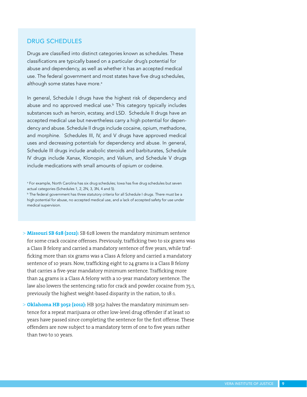#### DRUG SCHEDULES

Drugs are classified into distinct categories known as schedules. These classifications are typically based on a particular drug's potential for abuse and dependency, as well as whether it has an accepted medical use. The federal government and most states have five drug schedules, although some states have more.<sup>a</sup>

In general, Schedule I drugs have the highest risk of dependency and abuse and no approved medical use.<sup>b</sup> This category typically includes substances such as heroin, ecstasy, and LSD. Schedule II drugs have an accepted medical use but nevertheless carry a high potential for dependency and abuse. Schedule II drugs include cocaine, opium, methadone, and morphine. Schedules III, IV, and V drugs have approved medical uses and decreasing potentials for dependency and abuse. In general, Schedule III drugs include anabolic steroids and barbiturates, Schedule IV drugs include Xanax, Klonopin, and Valium, and Schedule V drugs include medications with small amounts of opium or codeine.

- > **Missouri SB 628 (2012):** SB 628 lowers the mandatory minimum sentence for some crack cocaine offenses. Previously, trafficking two to six grams was a Class B felony and carried a mandatory sentence of five years, while trafficking more than six grams was a Class A felony and carried a mandatory sentence of 10 years. Now, trafficking eight to 24 grams is a Class B felony that carries a five-year mandatory minimum sentence. Trafficking more than 24 grams is a Class A felony with a 10-year mandatory sentence. The law also lowers the sentencing ratio for crack and powder cocaine from 75:1, previously the highest weight-based disparity in the nation, to 18:1.
- > **Oklahoma HB 3052 (2012):** HB 3052 halves the mandatory minimum sentence for a repeat marijuana or other low-level drug offender if at least 10 years have passed since completing the sentence for the first offense. These offenders are now subject to a mandatory term of one to five years rather than two to 10 years.

a For example, North Carolina has six drug schedules; Iowa has five drug schedules but seven actual categories (Schedules 1, 2, 2N, 3, 3N, 4 and 5).

**b** The federal government has three statutory criteria for all Schedule I drugs. There must be a high potential for abuse, no accepted medical use, and a lack of accepted safety for use under medical supervision.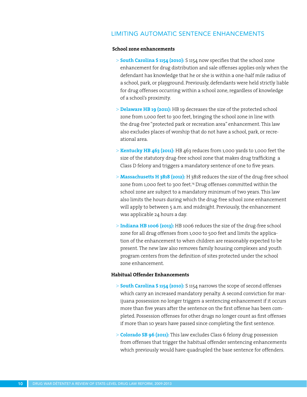#### LIMITING AUTOMATIC SENTENCE ENHANCEMENTS

#### **School zone enhancements**

- > **South Carolina S 1154 (2010):** S 1154 now specifies that the school zone enhancement for drug distribution and sale offenses applies only when the defendant has knowledge that he or she is within a one-half mile radius of a school, park, or playground. Previously, defendants were held strictly liable for drug offenses occurring within a school zone, regardless of knowledge of a school's proximity.
- > **Delaware HB 19 (2011):** HB 19 decreases the size of the protected school zone from 1,000 feet to 300 feet, bringing the school zone in line with the drug-free "protected park or recreation area" enhancement. This law also excludes places of worship that do not have a school, park, or recreational area.
- > **Kentucky HB 463 (2011):** HB 463 reduces from 1,000 yards to 1,000 feet the size of the statutory drug-free school zone that makes drug trafficking a Class D felony and triggers a mandatory sentence of one to five years.
- > **Massachusetts H 3818 (2012):** H 3818 reduces the size of the drug-free school zone from 1,000 feet to 300 feet.<sup>14</sup> Drug offenses committed within the school zone are subject to a mandatory minimum of two years. This law also limits the hours during which the drug-free school zone enhancement will apply to between 5 a.m. and midnight. Previously, the enhancement was applicable 24 hours a day.
- > **Indiana HB 1006 (2013):** HB 1006 reduces the size of the drug-free school zone for all drug offenses from 1,000 to 500 feet and limits the application of the enhancement to when children are reasonably expected to be present. The new law also removes family housing complexes and youth program centers from the definition of sites protected under the school zone enhancement.

#### **Habitual Offender Enhancements**

- > **South Carolina S 1154 (2010):** S 1154 narrows the scope of second offenses which carry an increased mandatory penalty. A second conviction for marijuana possession no longer triggers a sentencing enhancement if it occurs more than five years after the sentence on the first offense has been completed. Possession offenses for other drugs no longer count as first offenses if more than 10 years have passed since completing the first sentence.
- > **Colorado SB 96 (2011):** This law excludes Class 6 felony drug possession from offenses that trigger the habitual offender sentencing enhancements which previously would have quadrupled the base sentence for offenders.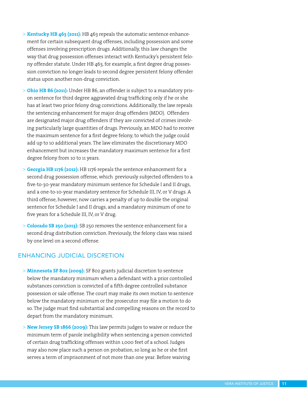- > **Kentucky HB 463 (2011):** HB 463 repeals the automatic sentence enhancement for certain subsequent drug offenses, including possession and some offenses involving prescription drugs. Additionally, this law changes the way that drug possession offenses interact with Kentucky's persistent felony offender statute. Under HB 463, for example, a first degree drug possession conviction no longer leads to second degree persistent felony offender status upon another non-drug conviction.
- > **Ohio HB 86 (2011):** Under HB 86, an offender is subject to a mandatory prison sentence for third degree aggravated drug trafficking only if he or she has at least two prior felony drug convictions. Additionally, the law repeals the sentencing enhancement for major drug offenders (MDO). Offenders are designated major drug offenders if they are convicted of crimes involving particularly large quantities of drugs. Previously, an MDO had to receive the maximum sentence for a first degree felony, to which the judge could add up to 10 additional years. The law eliminates the discretionary MDO enhancement but increases the mandatory maximum sentence for a first degree felony from 10 to 11 years.
- > **Georgia HB 1176 (2012):** HB 1176 repeals the sentence enhancement for a second drug possession offense, which previously subjected offenders to a five-to-30-year mandatory minimum sentence for Schedule I and II drugs, and a one-to-10-year mandatory sentence for Schedule III, IV, or V drugs. A third offense, however, now carries a penalty of up to double the original sentence for Schedule I and II drugs, and a mandatory minimum of one to five years for a Schedule III, IV, or V drug.
- > **Colorado SB 250 (2013):** SB 250 removes the sentence enhancement for a second drug distribution conviction. Previously, the felony class was raised by one level on a second offense.

#### ENHANCING JUDICIAL DISCRETION

- > **Minnesota SF 802 (2009):** SF 802 grants judicial discretion to sentence below the mandatory minimum when a defendant with a prior controlled substances conviction is convicted of a fifth degree controlled substance possession or sale offense. The court may make its own motion to sentence below the mandatory minimum or the prosecutor may file a motion to do so. The judge must find substantial and compelling reasons on the record to depart from the mandatory minimum.
- > **New Jersey SB 1866 (2009):** This law permits judges to waive or reduce the minimum term of parole ineligibility when sentencing a person convicted of certain drug trafficking offenses within 1,000 feet of a school. Judges may also now place such a person on probation, so long as he or she first serves a term of imprisonment of not more than one year. Before waiving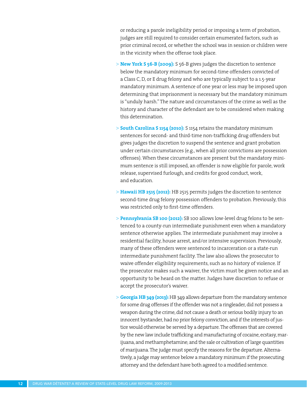or reducing a parole ineligibility period or imposing a term of probation, judges are still required to consider certain enumerated factors, such as prior criminal record, or whether the school was in session or children were in the vicinity when the offense took place.

- > **New York S 56-B (2009):** S 56-B gives judges the discretion to sentence below the mandatory minimum for second-time offenders convicted of a Class C, D, or E drug felony and who are typically subject to a 1.5-year mandatory minimum. A sentence of one year or less may be imposed upon determining that imprisonment is necessary but the mandatory minimum is "unduly harsh." The nature and circumstances of the crime as well as the history and character of the defendant are to be considered when making this determination.
- > **South Carolina S 1154 (2010):** S 1154 retains the mandatory minimum sentences for second- and third-time non-trafficking drug offenders but gives judges the discretion to suspend the sentence and grant probation under certain circumstances (e.g., when all prior convictions are possession offenses). When these circumstances are present but the mandatory minimum sentence is still imposed, an offender is now eligible for parole, work release, supervised furlough, and credits for good conduct, work, and education.
- > **Hawaii HB 2515 (2012):** HB 2515 permits judges the discretion to sentence second-time drug felony possession offenders to probation. Previously, this was restricted only to first-time offenders.
- > **Pennsylvania SB 100 (2012):** SB 100 allows low-level drug felons to be sentenced to a county-run intermediate punishment even when a mandatory sentence otherwise applies. The intermediate punishment may involve a residential facility, house arrest, and/or intensive supervision. Previously, many of these offenders were sentenced to incarceration or a state-run intermediate punishment facility. The law also allows the prosecutor to waive offender eligibility requirements, such as no history of violence. If the prosecutor makes such a waiver, the victim must be given notice and an opportunity to be heard on the matter. Judges have discretion to refuse or accept the prosecutor's waiver.
- > **Georgia HB 349 (2013):** HB 349 allows departure from the mandatory sentence for some drug offenses if the offender was not a ringleader, did not possess a weapon during the crime, did not cause a death or serious bodily injury to an innocent bystander, had no prior felony conviction, and if the interests of justice would otherwise be served by a departure. The offenses that are covered by the new law include trafficking and manufacturing of cocaine, ecstasy, marijuana, and methamphetamine; and the sale or cultivation of large quantities of marijuana. The judge must specify the reasons for the departure. Alternatively, a judge may sentence below a mandatory minimum if the prosecuting attorney and the defendant have both agreed to a modified sentence.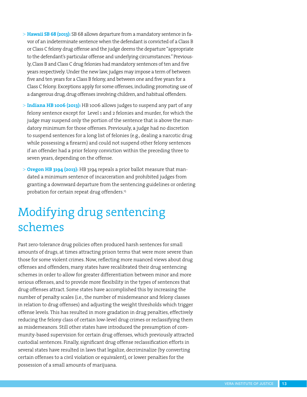- > **Hawaii SB 68 (2013):** SB 68 allows departure from a mandatory sentence in favor of an indeterminate sentence when the defendant is convicted of a Class B or Class C felony drug offense and the judge deems the departure "appropriate to the defendant's particular offense and underlying circumstances." Previously, Class B and Class C drug felonies had mandatory sentences of ten and five years respectively. Under the new law, judges may impose a term of between five and ten years for a Class B felony, and between one and five years for a Class C felony. Exceptions apply for some offenses, including promoting use of a dangerous drug, drug offenses involving children, and habitual offenders.
- > **Indiana HB 1006 (2013):** HB 1006 allows judges to suspend any part of any felony sentence except for Level 1 and 2 felonies and murder, for which the judge may suspend only the portion of the sentence that is above the mandatory minimum for those offenses. Previously, a judge had no discretion to suspend sentences for a long list of felonies (e.g., dealing a narcotic drug while possessing a firearm) and could not suspend other felony sentences if an offender had a prior felony conviction within the preceding three to seven years, depending on the offense.
- > **Oregon HB 3194 (2013):** HB 3194 repeals a prior ballot measure that mandated a minimum sentence of incarceration and prohibited judges from granting a downward departure from the sentencing guidelines or ordering probation for certain repeat drug offenders.<sup>15</sup>

# Modifying drug sentencing schemes

Past zero-tolerance drug policies often produced harsh sentences for small amounts of drugs, at times attracting prison terms that were more severe than those for some violent crimes. Now, reflecting more nuanced views about drug offenses and offenders, many states have recalibrated their drug sentencing schemes in order to allow for greater differentiation between minor and more serious offenses, and to provide more flexibility in the types of sentences that drug offenses attract. Some states have accomplished this by increasing the number of penalty scales (i.e., the number of misdemeanor and felony classes in relation to drug offenses) and adjusting the weight thresholds which trigger offense levels. This has resulted in more gradation in drug penalties, effectively reducing the felony class of certain low-level drug crimes or reclassifying them as misdemeanors. Still other states have introduced the presumption of community-based supervision for certain drug offenses, which previously attracted custodial sentences. Finally, significant drug offense reclassification efforts in several states have resulted in laws that legalize, decriminalize (by converting certain offenses to a civil violation or equivalent), or lower penalties for the possession of a small amounts of marijuana.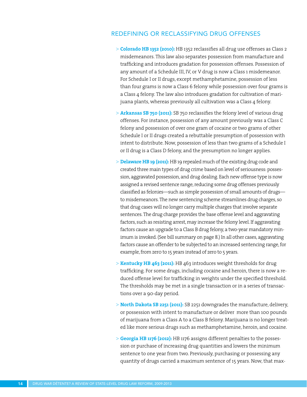#### REDEFINING OR RECLASSIFYING DRUG OFFENSES

- > **Colorado HB 1352 (2010):** HB 1352 reclassifies all drug use offenses as Class 2 misdemeanors. This law also separates possession from manufacture and trafficking and introduces gradation for possession offenses. Possession of any amount of a Schedule III, IV, or V drug is now a Class 1 misdemeanor. For Schedule I or II drugs, except methamphetamine, possession of less than four grams is now a Class 6 felony while possession over four grams is a Class 4 felony. The law also introduces gradation for cultivation of marijuana plants, whereas previously all cultivation was a Class 4 felony.
- > **Arkansas SB 750 (2011):** SB 750 reclassifies the felony level of various drug offenses. For instance, possession of any amount previously was a Class C felony and possession of over one gram of cocaine or two grams of other Schedule I or II drugs created a rebuttable presumption of possession with intent to distribute. Now, possession of less than two grams of a Schedule I or II drug is a Class D felony, and the presumption no longer applies.
- > **Delaware HB 19 (2011):** HB 19 repealed much of the existing drug code and created three main types of drug crime based on level of seriousness: possession, aggravated possession, and drug dealing. Each new offense type is now assigned a revised sentence range, reducing some drug offenses previously classified as felonies—such as simple possession of small amounts of drugs to misdemeanors. The new sentencing scheme streamlines drug charges, so that drug cases will no longer carry multiple charges that involve separate sentences. The drug charge provides the base offense level and aggravating factors, such as resisting arrest, may increase the felony level. If aggravating factors cause an upgrade to a Class B drug felony, a two-year mandatory minimum is invoked. (See bill summary on page 8.) In all other cases, aggravating factors cause an offender to be subjected to an increased sentencing range, for example, from zero to 15 years instead of zero to 5 years.
- > **Kentucky HB 463 (2011):** HB 463 introduces weight thresholds for drug trafficking. For some drugs, including cocaine and heroin, there is now a reduced offense level for trafficking in weights under the specified threshold. The thresholds may be met in a single transaction or in a series of transactions over a 90-day period.
- > **North Dakota SB 2251 (2011):** SB 2251 downgrades the manufacture, delivery, or possession with intent to manufacture or deliver more than 100 pounds of marijuana from a Class A to a Class B felony. Marijuana is no longer treated like more serious drugs such as methamphetamine, heroin, and cocaine.
- > **Georgia HB 1176 (2012):** HB 1176 assigns different penalties to the possession or purchase of increasing drug quantities and lowers the minimum sentence to one year from two. Previously, purchasing or possessing any quantity of drugs carried a maximum sentence of 15 years. Now, that max-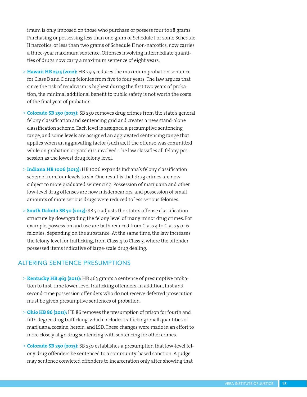imum is only imposed on those who purchase or possess four to 28 grams. Purchasing or possessing less than one gram of Schedule I or some Schedule II narcotics, or less than two grams of Schedule II non-narcotics, now carries a three-year maximum sentence. Offenses involving intermediate quantities of drugs now carry a maximum sentence of eight years.

- > **Hawaii HB 2515 (2012):** HB 2515 reduces the maximum probation sentence for Class B and C drug felonies from five to four years. The law argues that since the risk of recidivism is highest during the first two years of probation, the minimal additional benefit to public safety is not worth the costs of the final year of probation.
- > **Colorado SB 250 (2013):** SB 250 removes drug crimes from the state's general felony classification and sentencing grid and creates a new stand-alone classification scheme. Each level is assigned a presumptive sentencing range, and some levels are assigned an aggravated sentencing range that applies when an aggravating factor (such as, if the offense was committed while on probation or parole) is involved. The law classifies all felony possession as the lowest drug felony level.
- > **Indiana HB 1006 (2013):** HB 1006 expands Indiana's felony classification scheme from four levels to six. One result is that drug crimes are now subject to more graduated sentencing. Possession of marijuana and other low-level drug offenses are now misdemeanors, and possession of small amounts of more serious drugs were reduced to less serious felonies.
- > **South Dakota SB 70 (2013):** SB 70 adjusts the state's offense classification structure by downgrading the felony level of many minor drug crimes. For example, possession and use are both reduced from Class 4 to Class 5 or 6 felonies, depending on the substance. At the same time, the law increases the felony level for trafficking, from Class 4 to Class 3, where the offender possessed items indicative of large-scale drug dealing.

#### ALTERING SENTENCE PRESUMPTIONS

- > **Kentucky HB 463 (2011):** HB 463 grants a sentence of presumptive probation to first-time lower-level trafficking offenders. In addition, first and second-time possession offenders who do not receive deferred prosecution must be given presumptive sentences of probation.
- > **Ohio HB 86 (2011):** HB 86 removes the presumption of prison for fourth and fifth degree drug trafficking, which includes trafficking small quantities of marijuana, cocaine, heroin, and LSD. These changes were made in an effort to more closely align drug sentencing with sentencing for other crimes.
- > **Colorado SB 250 (2013):** SB 250 establishes a presumption that low-level felony drug offenders be sentenced to a community-based sanction. A judge may sentence convicted offenders to incarceration only after showing that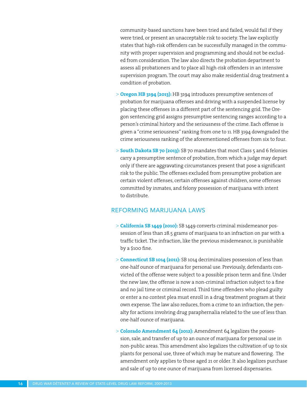community-based sanctions have been tried and failed, would fail if they were tried, or present an unacceptable risk to society. The law explicitly states that high-risk offenders can be successfully managed in the community with proper supervision and programming and should not be excluded from consideration. The law also directs the probation department to assess all probationers and to place all high-risk offenders in an intensive supervision program. The court may also make residential drug treatment a condition of probation.

- > **Oregon HB 3194 (2013):** HB 3194 introduces presumptive sentences of probation for marijuana offenses and driving with a suspended license by placing these offenses in a different part of the sentencing grid. The Oregon sentencing grid assigns presumptive sentencing ranges according to a person's criminal history and the seriousness of the crime. Each offense is given a "crime seriousness" ranking from one to 11. HB 3194 downgraded the crime seriousness ranking of the aforementioned offenses from six to four.
- > **South Dakota SB 70 (2013):** SB 70 mandates that most Class 5 and 6 felonies carry a presumptive sentence of probation, from which a judge may depart only if there are aggravating circumstances present that pose a significant risk to the public. The offenses excluded from presumptive probation are certain violent offenses, certain offenses against children, some offenses committed by inmates, and felony possession of marijuana with intent to distribute.

#### REFORMING MARIJUANA LAWS

- > **California SB 1449 (2010):** SB 1449 converts criminal misdemeanor possession of less than 28.5 grams of marijuana to an infraction on par with a traffic ticket. The infraction, like the previous misdemeanor, is punishable by a \$100 fine.
- > **Connecticut SB 1014 (2011):** SB 1014 decriminalizes possession of less than one-half ounce of marijuana for personal use. Previously, defendants convicted of the offense were subject to a possible prison term and fine. Under the new law, the offense is now a non-criminal infraction subject to a fine and no jail time or criminal record. Third time offenders who plead guilty or enter a no contest plea must enroll in a drug treatment program at their own expense. The law also reduces, from a crime to an infraction, the penalty for actions involving drug paraphernalia related to the use of less than one-half ounce of marijuana.
- > **Colorado Amendment 64 (2012):** Amendment 64 legalizes the possession, sale, and transfer of up to an ounce of marijuana for personal use in non-public areas. This amendment also legalizes the cultivation of up to six plants for personal use, three of which may be mature and flowering. The amendment only applies to those aged 21 or older. It also legalizes purchase and sale of up to one ounce of marijuana from licensed dispensaries.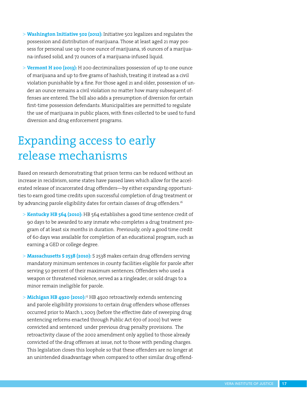- > **Washington Initiative 502 (2012):** Initiative 502 legalizes and regulates the possession and distribution of marijuana. Those at least aged 21 may possess for personal use up to one ounce of marijuana, 16 ounces of a marijuana-infused solid, and 72 ounces of a marijuana-infused liquid.
- > **Vermont H 200 (2013):** H 200 decriminalizes possession of up to one ounce of marijuana and up to five grams of hashish, treating it instead as a civil violation punishable by a fine. For those aged 21 and older, possession of under an ounce remains a civil violation no matter how many subsequent offenses are entered. The bill also adds a presumption of diversion for certain first-time possession defendants. Municipalities are permitted to regulate the use of marijuana in public places, with fines collected to be used to fund diversion and drug enforcement programs.

### Expanding access to early release mechanisms

Based on research demonstrating that prison terms can be reduced without an increase in recidivism, some states have passed laws which allow for the accelerated release of incarcerated drug offenders—by either expanding opportunities to earn good time credits upon successful completion of drug treatment or by advancing parole eligibility dates for certain classes of drug offenders.<sup>16</sup>

- > **Kentucky HB 564 (2010):** HB 564 establishes a good time sentence credit of 90 days to be awarded to any inmate who completes a drug treatment program of at least six months in duration. Previously, only a good time credit of 60 days was available for completion of an educational program, such as earning a GED or college degree.
- > **Massachusetts S 2538 (2010):** S 2538 makes certain drug offenders serving mandatory minimum sentences in county facilities eligible for parole after serving 50 percent of their maximum sentences. Offenders who used a weapon or threatened violence, served as a ringleader, or sold drugs to a minor remain ineligible for parole.
- > **Michigan HB 4920 (2010):**<sup>17</sup> HB 4920 retroactively extends sentencing and parole eligibility provisions to certain drug offenders whose offenses occurred prior to March 1, 2003 (before the effective date of sweeping drug sentencing reforms enacted through Public Act 670 of 2002) but were convicted and sentenced under previous drug penalty provisions. The retroactivity clause of the 2002 amendment only applied to those already convicted of the drug offenses at issue, not to those with pending charges. This legislation closes this loophole so that these offenders are no longer at an unintended disadvantage when compared to other similar drug offend-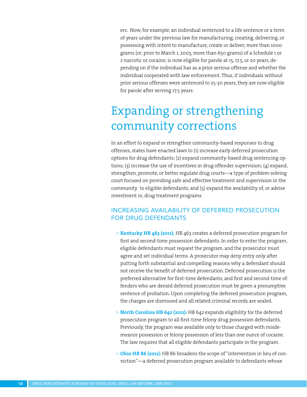ers. Now, for example, an individual sentenced to a life sentence or a term of years under the previous law for manufacturing, creating, delivering, or possessing with intent to manufacture, create or deliver, more than 1000 grams (or, prior to March 1, 2003, more than 650 grams) of a Schedule 1 or 2 narcotic or cocaine, is now eligible for parole at 15, 17.5, or 20 years, depending on if the individual has as a prior serious offense and whether the individual cooperated with law enforcement. Thus, if individuals without prior serious offenses were sentenced to 25-30 years, they are now eligible for parole after serving 17.5 years.

# Expanding or strengthening community corrections

In an effort to expand or strengthen community-based responses to drug offenses, states have enacted laws to (1) increase early deferred prosecution options for drug defendants; (2) expand community-based drug sentencing options; (3) increase the use of incentives in drug offender supervision; (4) expand, strengthen, promote, or better regulate drug courts—a type of problem-solving court focused on providing safe and effective treatment and supervision in the community to eligible defendants; and (5) expand the availability of, or advise investment in, drug treatment programs.

### INCREASING AVAILABILITY OF DEFERRED PROSECUTION FOR DRUG DEFENDANTS

- > **Kentucky HB 463 (2011):** HB 463 creates a deferred prosecution program for first and second-time possession defendants. In order to enter the program, eligible defendants must request the program, and the prosecutor must agree and set individual terms. A prosecutor may deny entry only after putting forth substantial and compelling reasons why a defendant should not receive the benefit of deferred prosecution. Deferred prosecution is the preferred alternative for first-time defendants, and first and second-time offenders who are denied deferred prosecution must be given a presumptive sentence of probation. Upon completing the deferred prosecution program, the charges are dismissed and all related criminal records are sealed.
- > **North Carolina HB 642 (2011):** HB 642 expands eligibility for the deferred prosecution program to all first-time felony drug possession defendants. Previously, the program was available only to those charged with misdemeanor possession or felony possession of less than one ounce of cocaine. The law requires that all eligible defendants participate in the program.
- > **Ohio HB 86 (2011):** HB 86 broadens the scope of "intervention in lieu of conviction"—a deferred prosecution program available to defendants whose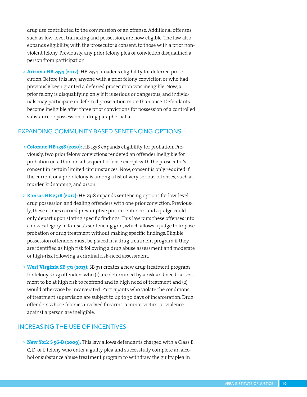drug use contributed to the commission of an offense. Additional offenses, such as low-level trafficking and possession, are now eligible. The law also expands eligibility, with the prosecutor's consent, to those with a prior nonviolent felony. Previously, any prior felony plea or conviction disqualified a person from participation.

> **Arizona HB 2374 (2012):** HB 2374 broadens eligibility for deferred prosecution. Before this law, anyone with a prior felony conviction or who had previously been granted a deferred prosecution was ineligible. Now, a prior felony is disqualifying only if it is serious or dangerous, and individuals may participate in deferred prosecution more than once. Defendants become ineligible after three prior convictions for possession of a controlled substance or possession of drug paraphernalia.

#### EXPANDING COMMUNITY-BASED SENTENCING OPTIONS

- > **Colorado HB 1338 (2010):** HB 1338 expands eligibility for probation. Previously, two prior felony convictions rendered an offender ineligible for probation on a third or subsequent offense except with the prosecutor's consent in certain limited circumstances. Now, consent is only required if the current or a prior felony is among a list of very serious offenses, such as murder, kidnapping, and arson.
- > **Kansas HB 2318 (2012):** HB 2318 expands sentencing options for low-level drug possession and dealing offenders with one prior conviction. Previously, these crimes carried presumptive prison sentences and a judge could only depart upon stating specific findings. This law puts these offenses into a new category in Kansas's sentencing grid, which allows a judge to impose probation or drug treatment without making specific findings. Eligible possession offenders must be placed in a drug treatment program if they are identified as high risk following a drug abuse assessment and moderate or high-risk following a criminal risk-need assessment.
- > **West Virginia SB 371 (2013):** SB 371 creates a new drug treatment program for felony drug offenders who (1) are determined by a risk and needs assessment to be at high risk to reoffend and in high need of treatment and (2) would otherwise be incarcerated. Participants who violate the conditions of treatment supervision are subject to up to 30 days of incarceration. Drug offenders whose felonies involved firearms, a minor victim, or violence against a person are ineligible.

#### INCREASING THE USE OF INCENTIVES

> **New York S 56-B (2009):** This law allows defendants charged with a Class B, C, D, or E felony who enter a guilty plea and successfully complete an alcohol or substance abuse treatment program to withdraw the guilty plea in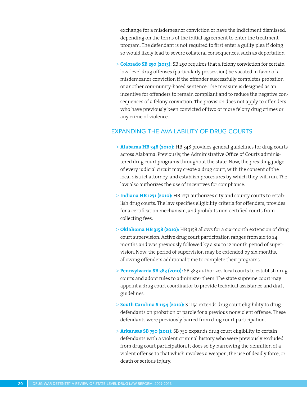exchange for a misdemeanor conviction or have the indictment dismissed, depending on the terms of the initial agreement to enter the treatment program. The defendant is not required to first enter a guilty plea if doing so would likely lead to severe collateral consequences, such as deportation.

> **Colorado SB 250 (2013):** SB 250 requires that a felony conviction for certain low-level drug offenses (particularly possession) be vacated in favor of a misdemeanor conviction if the offender successfully completes probation or another community-based sentence. The measure is designed as an incentive for offenders to remain compliant and to reduce the negative consequences of a felony conviction. The provision does not apply to offenders who have previously been convicted of two or more felony drug crimes or any crime of violence.

#### EXPANDING THE AVAILABILITY OF DRUG COURTS

- > **Alabama HB 348 (2010):** HB 348 provides general guidelines for drug courts across Alabama. Previously, the Administrative Office of Courts administered drug court programs throughout the state. Now, the presiding judge of every judicial circuit may create a drug court, with the consent of the local district attorney, and establish procedures by which they will run. The law also authorizes the use of incentives for compliance.
- > **Indiana HB 1271 (2010):** HB 1271 authorizes city and county courts to establish drug courts. The law specifies eligibility criteria for offenders, provides for a certification mechanism, and prohibits non-certified courts from collecting fees.
- > **Oklahoma HB 3158 (2010):** HB 3158 allows for a six-month extension of drug court supervision. Active drug court participation ranges from six to 24 months and was previously followed by a six to 12 month period of supervision. Now, the period of supervision may be extended by six months, allowing offenders additional time to complete their programs.
- > **Pennsylvania SB 383 (2010):** SB 383 authorizes local courts to establish drug courts and adopt rules to administer them. The state supreme court may appoint a drug court coordinator to provide technical assistance and draft guidelines.
- > **South Carolina S 1154 (2010):** S 1154 extends drug court eligibility to drug defendants on probation or parole for a previous nonviolent offense. These defendants were previously barred from drug court participation.
- > **Arkansas SB 750 (2011):** SB 750 expands drug court eligibility to certain defendants with a violent criminal history who were previously excluded from drug court participation. It does so by narrowing the definition of a violent offense to that which involves a weapon, the use of deadly force, or death or serious injury.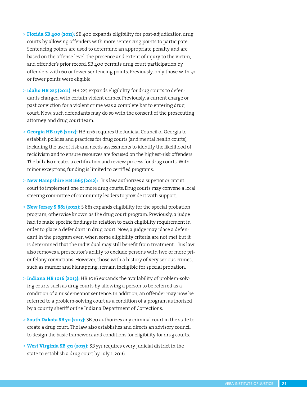- > **Florida SB 400 (2011):** SB 400 expands eligibility for post-adjudication drug courts by allowing offenders with more sentencing points to participate. Sentencing points are used to determine an appropriate penalty and are based on the offense level, the presence and extent of injury to the victim, and offender's prior record. SB 400 permits drug court participation by offenders with 60 or fewer sentencing points. Previously, only those with 52 or fewer points were eligible.
- > **Idaho HB 225 (2011)**: HB 225 expands eligibility for drug courts to defendants charged with certain violent crimes. Previously, a current charge or past conviction for a violent crime was a complete bar to entering drug court. Now, such defendants may do so with the consent of the prosecuting attorney and drug court team.
- > **Georgia HB 1176 (2012):** HB 1176 requires the Judicial Council of Georgia to establish policies and practices for drug courts (and mental health courts), including the use of risk and needs assessments to identify the likelihood of recidivism and to ensure resources are focused on the highest-risk offenders. The bill also creates a certification and review process for drug courts. With minor exceptions, funding is limited to certified programs.
- > **New Hampshire HB 1665 (2012):** This law authorizes a superior or circuit court to implement one or more drug courts. Drug courts may convene a local steering committee of community leaders to provide it with support.
- > **New Jersey S 881 (2012):** S 881 expands eligibility for the special probation program, otherwise known as the drug court program. Previously, a judge had to make specific findings in relation to each eligibility requirement in order to place a defendant in drug court. Now, a judge may place a defendant in the program even when some eligibility criteria are not met but it is determined that the individual may still benefit from treatment. This law also removes a prosecutor's ability to exclude persons with two or more prior felony convictions. However, those with a history of very serious crimes, such as murder and kidnapping, remain ineligible for special probation.
- > **Indiana HB 1016 (2013):** HB 1016 expands the availability of problem-solving courts such as drug courts by allowing a person to be referred as a condition of a misdemeanor sentence. In addition, an offender may now be referred to a problem-solving court as a condition of a program authorized by a county sheriff or the Indiana Department of Corrections.
- > **South Dakota SB 70 (2013):** SB 70 authorizes any criminal court in the state to create a drug court. The law also establishes and directs an advisory council to design the basic framework and conditions for eligibility for drug courts.
- > **West Virginia SB 371 (2013):** SB 371 requires every judicial district in the state to establish a drug court by July 1, 2016.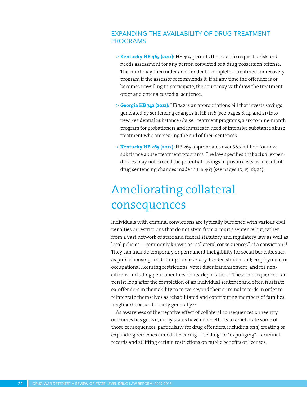### EXPANDING THE AVAILABILITY OF DRUG TREATMENT PROGRAMS

- > **Kentucky HB 463 (2011):** HB 463 permits the court to request a risk and needs assessment for any person convicted of a drug possession offense. The court may then order an offender to complete a treatment or recovery program if the assessor recommends it. If at any time the offender is or becomes unwilling to participate, the court may withdraw the treatment order and enter a custodial sentence.
- > **Georgia HB 742 (2012):** HB 742 is an appropriations bill that invests savings generated by sentencing changes in HB 1176 (see pages 8, 14, and 21) into new Residential Substance Abuse Treatment programs, a six-to-nine-month program for probationers and inmates in need of intensive substance abuse treatment who are nearing the end of their sentences.
- > **Kentucky HB 265 (2012):** HB 265 appropriates over \$6.7 million for new substance abuse treatment programs. The law specifies that actual expenditures may not exceed the potential savings in prison costs as a result of drug sentencing changes made in HB 463 (see pages 10, 15, 18, 22).

# Ameliorating collateral consequences

Individuals with criminal convictions are typically burdened with various civil penalties or restrictions that do not stem from a court's sentence but, rather, from a vast network of state and federal statutory and regulatory law as well as local policies— commonly known as "collateral consequences" of a conviction.<sup>18</sup> They can include temporary or permanent ineligibility for social benefits, such as public housing, food stamps, or federally-funded student aid; employment or occupational licensing restrictions; voter disenfranchisement; and for noncitizens, including permanent residents, deportation.19 These consequences can persist long after the completion of an individual sentence and often frustrate ex-offenders in their ability to move beyond their criminal records in order to reintegrate themselves as rehabilitated and contributing members of families, neighborhood, and society generally.<sup>20</sup>

As awareness of the negative effect of collateral consequences on reentry outcomes has grown, many states have made efforts to ameliorate some of those consequences, particularly for drug offenders, including on 1) creating or expanding remedies aimed at clearing—"sealing" or "expunging"—criminal records and 2) lifting certain restrictions on public benefits or licenses.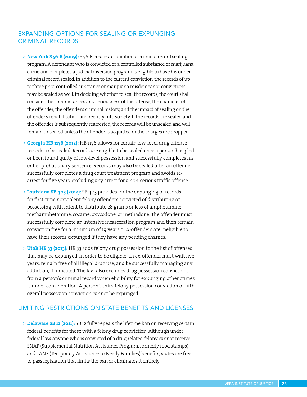### EXPANDING OPTIONS FOR SEALING OR EXPUNGING CRIMINAL RECORDS

- > **New York S 56-B (2009):** S 56-B creates a conditional criminal record sealing program. A defendant who is convicted of a controlled substance or marijuana crime and completes a judicial diversion program is eligible to have his or her criminal record sealed. In addition to the current conviction, the records of up to three prior controlled substance or marijuana misdemeanor convictions may be sealed as well. In deciding whether to seal the records, the court shall consider the circumstances and seriousness of the offense, the character of the offender, the offender's criminal history, and the impact of sealing on the offender's rehabilitation and reentry into society. If the records are sealed and the offender is subsequently rearrested, the records will be unsealed and will remain unsealed unless the offender is acquitted or the charges are dropped.
- > **Georgia HB 1176 (2012):** HB 1176 allows for certain low-level drug offense records to be sealed. Records are eligible to be sealed once a person has pled or been found guilty of low-level possession and successfully completes his or her probationary sentence. Records may also be sealed after an offender successfully completes a drug court treatment program and avoids rearrest for five years, excluding any arrest for a non-serious traffic offense.
- > **Louisiana SB 403 (2012):** SB 403 provides for the expunging of records for first-time nonviolent felony offenders convicted of distributing or possessing with intent to distribute 28 grams or less of amphetamine, methamphetamine, cocaine, oxycodone, or methadone. The offender must successfully complete an intensive incarceration program and then remain conviction free for a minimum of 19 years.<sup>21</sup> Ex-offenders are ineligible to have their records expunged if they have any pending charges.
- > **Utah HB 33 (2013):** HB 33 adds felony drug possession to the list of offenses that may be expunged. In order to be eligible, an ex-offender must wait five years, remain free of all illegal drug use, and be successfully managing any addiction, if indicated. The law also excludes drug possession convictions from a person's criminal record when eligibility for expunging other crimes is under consideration. A person's third felony possession conviction or fifth overall possession conviction cannot be expunged.

#### LIMITING RESTRICTIONS ON STATE BENEFITS AND LICENSES

> **Delaware SB 12 (2011):** SB 12 fully repeals the lifetime ban on receiving certain federal benefits for those with a felony drug conviction. Although under federal law anyone who is convicted of a drug related felony cannot receive SNAP (Supplemental Nutrition Assistance Program, formerly food stamps) and TANF (Temporary Assistance to Needy Families) benefits, states are free to pass legislation that limits the ban or eliminates it entirely.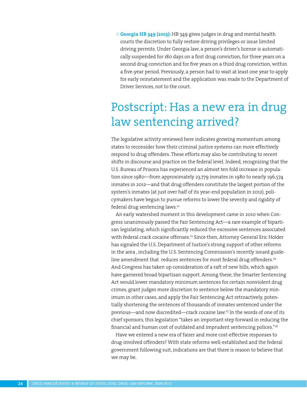> **Georgia HB 349 (2013):** HB 349 gives judges in drug and mental health courts the discretion to fully restore driving privileges or issue limited driving permits. Under Georgia law, a person's driver's license is automatically suspended for 180 days on a first drug conviction, for three years on a second drug conviction and for five years on a third drug conviction, within a five-year period. Previously, a person had to wait at least one year to apply for early reinstatement and the application was made to the Department of Driver Services, not to the court.

### Postscript: Has a new era in drug law sentencing arrived?

The legislative activity reviewed here indicates growing momentum among states to reconsider how their criminal justice systems can more effectively respond to drug offenders. These efforts may also be contributing to recent shifts in discourse and practice on the federal level. Indeed, recognizing that the U.S. Bureau of Prisons has experienced an almost ten fold increase in population since 1980—from approximately 23,779 inmates in 1980 to nearly 196,574 inmates in 2012—and that drug offenders constitute the largest portion of the system's inmates (at just over half of its year-end population in 2012), policymakers have begun to pursue reforms to lower the severity and rigidity of federal drug sentencing laws.<sup>22</sup>

An early watershed moment in this development came in 2010 when Congress unanimously passed the Fair Sentencing Act—a rare example of bipartisan legislating, which significantly reduced the excessive sentences associated with federal crack cocaine offenses.<sup>23</sup> Since then, Attorney General Eric Holder has signaled the U.S. Department of Justice's strong support of other reforms in the area , including the U.S. Sentencing Commission's recently issued guideline amendment that reduces sentences for most federal drug offenders.<sup>24</sup> And Congress has taken up consideration of a raft of new bills, which again have garnered broad bipartisan support. Among these, the Smarter Sentencing Act would lower mandatory minimum sentences for certain nonviolent drug crimes, grant judges more discretion to sentence below the mandatory minimum in other cases, and apply the Fair Sentencing Act retroactively, potentially shortening the sentences of thousands of inmates sentenced under the previous—and now discredited—crack cocaine law.<sup>25</sup> In the words of one of its chief sponsors, this legislation "takes an important step forward in reducing the financial and human cost of outdated and imprudent sentencing polices."26

Have we entered a new era of fairer and more cost-effective responses to drug-involved offenders? With state reforms well-established and the federal government following suit, indications are that there is reason to believe that we may be.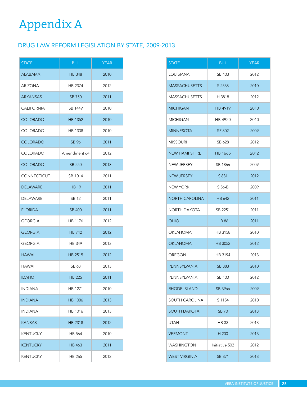### DRUG LAW REFORM LEGISLATION BY STATE, 2009-2013

| <b>STATE</b>      | <b>BILL</b>   | <b>YEAR</b> |  |  |  |  |
|-------------------|---------------|-------------|--|--|--|--|
| <b>ALABAMA</b>    | <b>HB 348</b> | 2010        |  |  |  |  |
| <b>ARIZONA</b>    | HB 2374       | 2012        |  |  |  |  |
| <b>ARKANSAS</b>   | SB 750        | 2011        |  |  |  |  |
| <b>CALIFORNIA</b> | SB 1449       | 2010        |  |  |  |  |
| COLORADO          | HB 1352       | 2010        |  |  |  |  |
| <b>COLORADO</b>   | HB 1338       | 2010        |  |  |  |  |
| <b>COLORADO</b>   | SB 96         | 2011        |  |  |  |  |
| COLORADO          | Amendment 64  | 2012        |  |  |  |  |
| <b>COLORADO</b>   | <b>SB 250</b> | 2013        |  |  |  |  |
| CONNECTICUT       | SB 1014       | 2011        |  |  |  |  |
| <b>DELAWARE</b>   | <b>HB 19</b>  | 2011        |  |  |  |  |
| <b>DELAWARE</b>   | <b>SB 12</b>  | 2011        |  |  |  |  |
| <b>FLORIDA</b>    | <b>SB 400</b> | 2011        |  |  |  |  |
| <b>GEORGIA</b>    | HB 1176       | 2012        |  |  |  |  |
| <b>GEORGIA</b>    | <b>HB 742</b> | 2012        |  |  |  |  |
| GEORGIA           | HB 349        | 2013        |  |  |  |  |
| <b>HAWAII</b>     | HB 2515       | 2012        |  |  |  |  |
| <b>HAWAII</b>     | SB 68         | 2013        |  |  |  |  |
| <b>IDAHO</b>      | <b>HB 225</b> | 2011        |  |  |  |  |
| <b>INDIANA</b>    | HB 1271       | 2010        |  |  |  |  |
| <b>INDIANA</b>    | HB 1006       | 2013        |  |  |  |  |
| <b>INDIANA</b>    | HB 1016       | 2013        |  |  |  |  |
| <b>KANSAS</b>     | HB 2318       | 2012        |  |  |  |  |
| <b>KENTUCKY</b>   | HB 564        | 2010        |  |  |  |  |
| <b>KENTUCKY</b>   | <b>HB 463</b> | 2011        |  |  |  |  |
| <b>KENTUCKY</b>   | HB 265        | 2012        |  |  |  |  |

| STATE                 | <b>BILL</b>    | <b>YEAR</b> |  |  |  |  |
|-----------------------|----------------|-------------|--|--|--|--|
| LOUISIANA             | SB 403         | 2012        |  |  |  |  |
| <b>MASSACHUSETTS</b>  | S 2538         | 2010        |  |  |  |  |
| <b>MASSACHUSETTS</b>  | H 3818         | 2012        |  |  |  |  |
| MICHIGAN              | HB 4919        | 2010        |  |  |  |  |
| MICHIGAN              | HB 4920        | 2010        |  |  |  |  |
| MINNESOTA             | SF 802         | 2009        |  |  |  |  |
| MISSOURI              | SB 628         | 2012        |  |  |  |  |
| <b>NEW HAMPSHIRE</b>  | HB 1665        | 2012        |  |  |  |  |
| NEW JERSEY            | SB 1866        | 2009        |  |  |  |  |
| <b>NEW JERSEY</b>     | S 881          | 2012        |  |  |  |  |
| NEW YORK              | S 56-B         | 2009        |  |  |  |  |
| NORTH CAROLINA        | HB 642         | 2011        |  |  |  |  |
| NORTH DAKOTA          | SB 2251        | 2011        |  |  |  |  |
| OHIO                  | <b>HB 86</b>   | 2011        |  |  |  |  |
| OKLAHOMA              | HB 3158        | 2010        |  |  |  |  |
| OKLAHOMA              | HB 3052        | 2012        |  |  |  |  |
| OREGON                | HB 3194        | 2013        |  |  |  |  |
| PENNSYLVANIA          | SB 383         | 2010        |  |  |  |  |
| PENNSYLVANIA          | SB 100         | 2012        |  |  |  |  |
| RHODE ISLAND          | SB 39aa        | 2009        |  |  |  |  |
| <b>SOUTH CAROLINA</b> | S 1154         | 2010        |  |  |  |  |
| SOUTH DAKOTA          | <b>SB 70</b>   | 2013        |  |  |  |  |
| <b>UTAH</b>           | HB 33          | 2013        |  |  |  |  |
| <b>VERMONT</b>        | H 200          | 2013        |  |  |  |  |
| <b>WASHINGTON</b>     | Initiative 502 | 2012        |  |  |  |  |
| WEST VIRGINIA         | SB 371         | 2013        |  |  |  |  |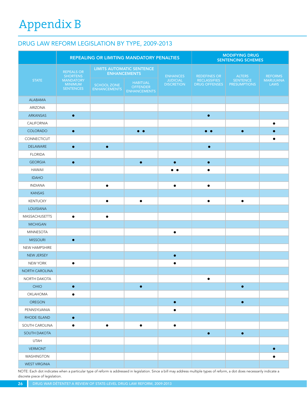# Appendix B

### DRUG LAW REFORM LEGISLATION BY TYPE, 2009-2013

|                  | REPEALING OR LIMITING MANDATORY PENALTIES                                               |                             |                                                                                                 |                                           |                                                             | <b>MODIFYING DRUG</b><br><b>SENTENCING SCHEMES</b> |                                            |
|------------------|-----------------------------------------------------------------------------------------|-----------------------------|-------------------------------------------------------------------------------------------------|-------------------------------------------|-------------------------------------------------------------|----------------------------------------------------|--------------------------------------------|
| <b>STATE</b>     | <b>REPEALS OR</b><br><b>SHORTENS</b><br><b>MANDATORY</b><br><b>MINIMUM</b><br>SENTENCES | SCHOOL ZONE<br>ENHANCEMENTS | <b>LIMITS AUTOMATIC SENTENCE</b><br><b>ENHANCEMENTS</b><br>HABITUAL<br>OFFENDER<br>ENHANCEMENTS | ENHANCES<br>JUDICIAL<br><b>DISCRETION</b> | <b>REDEFINES OR</b><br><b>RECLASSIFIES</b><br>DRUG OFFENSES | ALTERS<br>SENTENCE<br><b>PRESUMPTIONS</b>          | <b>REFORMS</b><br><b>MARIJUANA</b><br>LAWS |
| ALABAMA          |                                                                                         |                             |                                                                                                 |                                           |                                                             |                                                    |                                            |
| ARIZONA          |                                                                                         |                             |                                                                                                 |                                           |                                                             |                                                    |                                            |
| ARKANSAS         | $\bullet$                                                                               |                             |                                                                                                 |                                           | $\bullet$                                                   |                                                    |                                            |
| CALIFORNIA       |                                                                                         |                             |                                                                                                 |                                           |                                                             |                                                    | $\bullet$                                  |
| COLORADO         | $\bullet$                                                                               |                             | $\bullet$                                                                                       |                                           | $\bullet$ $\bullet$                                         | $\bullet$                                          | $\bullet$                                  |
| CONNECTICUT      |                                                                                         |                             |                                                                                                 |                                           |                                                             |                                                    | $\bullet$                                  |
| DELAWARE         | $\bullet$                                                                               | $\bullet$                   |                                                                                                 |                                           | $\bullet$                                                   |                                                    |                                            |
| <b>FLORIDA</b>   |                                                                                         |                             |                                                                                                 |                                           |                                                             |                                                    |                                            |
| <b>GEORGIA</b>   | $\bullet$                                                                               |                             | $\bullet$                                                                                       | $\bullet$                                 | $\bullet$                                                   |                                                    |                                            |
| HAWAII           |                                                                                         |                             |                                                                                                 | $\bullet\bullet$                          | $\bullet$                                                   |                                                    |                                            |
| <b>IDAHO</b>     |                                                                                         |                             |                                                                                                 |                                           |                                                             |                                                    |                                            |
| <b>INDIANA</b>   |                                                                                         | $\bullet$                   |                                                                                                 | $\bullet$                                 | $\bullet$                                                   |                                                    |                                            |
| KANSAS           |                                                                                         |                             |                                                                                                 |                                           |                                                             |                                                    |                                            |
| KENTUCKY         |                                                                                         | $\bullet$                   | $\bullet$                                                                                       |                                           | $\bullet$                                                   | $\bullet$                                          |                                            |
| LOUISIANA        |                                                                                         |                             |                                                                                                 |                                           |                                                             |                                                    |                                            |
| MASSACHUSETTS    | $\bullet$                                                                               | $\bullet$                   |                                                                                                 |                                           |                                                             |                                                    |                                            |
| <b>MICHIGAN</b>  |                                                                                         |                             |                                                                                                 |                                           |                                                             |                                                    |                                            |
| <b>MINNESOTA</b> |                                                                                         |                             |                                                                                                 | $\bullet$                                 |                                                             |                                                    |                                            |
| <b>MISSOURI</b>  | $\bullet$                                                                               |                             |                                                                                                 |                                           |                                                             |                                                    |                                            |
| NEW HAMPSHIRE    |                                                                                         |                             |                                                                                                 |                                           |                                                             |                                                    |                                            |
| NEW JERSEY       |                                                                                         |                             |                                                                                                 | $\bullet$                                 |                                                             |                                                    |                                            |
| <b>NEW YORK</b>  | $\bullet$                                                                               |                             |                                                                                                 | $\bullet$                                 |                                                             |                                                    |                                            |
| NORTH CAROLINA   |                                                                                         |                             |                                                                                                 |                                           |                                                             |                                                    |                                            |
| NORTH DAKOTA     |                                                                                         |                             |                                                                                                 |                                           |                                                             |                                                    |                                            |
|                  |                                                                                         |                             |                                                                                                 |                                           | $\bullet$                                                   |                                                    |                                            |
| OHIO<br>OKLAHOMA | $\bullet$                                                                               |                             | $\bullet$                                                                                       |                                           |                                                             | $\bullet$                                          |                                            |
|                  | $\bullet$                                                                               |                             |                                                                                                 |                                           |                                                             |                                                    |                                            |
| OREGON           |                                                                                         |                             |                                                                                                 | $\bullet$                                 |                                                             | $\bullet$                                          |                                            |
| PENNSYLVANIA     |                                                                                         |                             |                                                                                                 | $\bullet$                                 |                                                             |                                                    |                                            |
| RHODE ISLAND     | $\bullet$                                                                               |                             |                                                                                                 |                                           |                                                             |                                                    |                                            |
| SOUTH CAROLINA   | $\bullet$                                                                               | $\bullet$                   | $\bullet$                                                                                       | $\bullet$                                 |                                                             |                                                    |                                            |
| SOUTH DAKOTA     |                                                                                         |                             |                                                                                                 |                                           | $\bullet$                                                   | $\bullet$                                          |                                            |
| <b>UTAH</b>      |                                                                                         |                             |                                                                                                 |                                           |                                                             |                                                    |                                            |
| <b>VERMONT</b>   |                                                                                         |                             |                                                                                                 |                                           |                                                             |                                                    | $\bullet$                                  |
| WASHINGTON       |                                                                                         |                             |                                                                                                 |                                           |                                                             |                                                    | $\bullet$                                  |
| WEST VIRGINIA    |                                                                                         |                             |                                                                                                 |                                           |                                                             |                                                    |                                            |

NOTE: Each dot indicates when a particular type of reform is addressed in legislation. Since a bill may address multiple types of reform, a dot does necessarily indicate a discrete piece of legislation.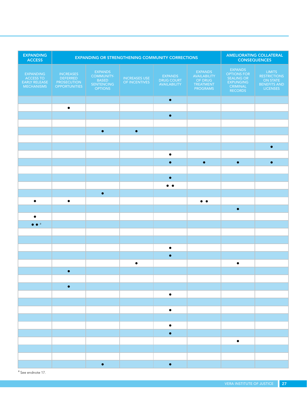| <b>EXPANDING</b><br><b>ACCESS</b>                            | <b>EXPANDING OR STRENGTHENING COMMUNITY CORRECTIONS</b>             |                                                                       |                                |                                                                                                                       |                                                             | AMELIORATING COLLATERAL<br><b>CONSEQUENCES</b>                                  |                                                                                     |  |
|--------------------------------------------------------------|---------------------------------------------------------------------|-----------------------------------------------------------------------|--------------------------------|-----------------------------------------------------------------------------------------------------------------------|-------------------------------------------------------------|---------------------------------------------------------------------------------|-------------------------------------------------------------------------------------|--|
| EXPANDING<br><b>ACCESS TO</b><br>EARLY RELEASE<br>MECHANISMS | <b>INCREASES</b><br>DEFERRED<br>PROSECUTION<br><b>OPPORTUNITIES</b> | <b>EXPANDS</b><br>COMMUNITY-<br>BASED<br>SENTENCING<br><b>OPTIONS</b> | INCREASES USE<br>OF INCENTIVES | <b>EXPANDS</b><br><b>DRUG COURT</b><br>AVAILABILITY                                                                   | EXPANDS<br>AVAILABILITY<br>OF DRUG<br>TREATMENT<br>PROGRAMS | EXPANDS<br>OPTIONS FOR<br>SEALING OR<br>EXPUNGING<br>CRIMINAL<br><b>RECORDS</b> | <b>LIMITS</b><br><b>RESTRICTIONS</b><br>ON STATE<br>BENEFITS AND<br><b>LICENSES</b> |  |
|                                                              |                                                                     |                                                                       |                                | $\bullet$                                                                                                             |                                                             |                                                                                 |                                                                                     |  |
|                                                              | $\bullet$                                                           |                                                                       |                                |                                                                                                                       |                                                             |                                                                                 |                                                                                     |  |
|                                                              |                                                                     |                                                                       |                                | $\bullet$                                                                                                             |                                                             |                                                                                 |                                                                                     |  |
|                                                              |                                                                     | $\bullet$                                                             | $\bullet$                      |                                                                                                                       |                                                             |                                                                                 |                                                                                     |  |
|                                                              |                                                                     |                                                                       |                                |                                                                                                                       |                                                             |                                                                                 |                                                                                     |  |
|                                                              |                                                                     |                                                                       |                                |                                                                                                                       |                                                             |                                                                                 | $\bullet$                                                                           |  |
|                                                              |                                                                     |                                                                       |                                | $\bullet$                                                                                                             |                                                             |                                                                                 |                                                                                     |  |
|                                                              |                                                                     |                                                                       |                                | $\bullet$                                                                                                             | $\bullet$                                                   | $\bullet$                                                                       | $\bullet$                                                                           |  |
|                                                              |                                                                     |                                                                       |                                |                                                                                                                       |                                                             |                                                                                 |                                                                                     |  |
|                                                              |                                                                     |                                                                       |                                | $\bullet$                                                                                                             |                                                             |                                                                                 |                                                                                     |  |
|                                                              |                                                                     |                                                                       |                                | $\bullet\hspace{0.4mm} \bullet\hspace{0.4mm} \bullet$                                                                 |                                                             |                                                                                 |                                                                                     |  |
|                                                              |                                                                     | $\bullet$                                                             |                                |                                                                                                                       |                                                             |                                                                                 |                                                                                     |  |
| $\bullet$                                                    | $\bullet$                                                           |                                                                       |                                |                                                                                                                       | $\bullet\;\bullet$                                          |                                                                                 |                                                                                     |  |
|                                                              |                                                                     |                                                                       |                                |                                                                                                                       |                                                             | $\bullet$                                                                       |                                                                                     |  |
| $\bullet$<br>$\bullet \bullet$ <sup>a</sup>                  |                                                                     |                                                                       |                                |                                                                                                                       |                                                             |                                                                                 |                                                                                     |  |
|                                                              |                                                                     |                                                                       |                                |                                                                                                                       |                                                             |                                                                                 |                                                                                     |  |
|                                                              |                                                                     |                                                                       |                                |                                                                                                                       |                                                             |                                                                                 |                                                                                     |  |
|                                                              |                                                                     |                                                                       |                                | $\bullet$                                                                                                             |                                                             |                                                                                 |                                                                                     |  |
|                                                              |                                                                     |                                                                       |                                | $\bullet$                                                                                                             |                                                             |                                                                                 |                                                                                     |  |
|                                                              |                                                                     |                                                                       | $\bullet$                      |                                                                                                                       |                                                             | $\bullet$                                                                       |                                                                                     |  |
|                                                              | $\bullet$                                                           |                                                                       |                                |                                                                                                                       |                                                             |                                                                                 |                                                                                     |  |
|                                                              |                                                                     |                                                                       |                                |                                                                                                                       |                                                             |                                                                                 |                                                                                     |  |
|                                                              | $\bullet$                                                           |                                                                       |                                |                                                                                                                       |                                                             |                                                                                 |                                                                                     |  |
|                                                              |                                                                     |                                                                       |                                | $\bullet$                                                                                                             |                                                             |                                                                                 |                                                                                     |  |
|                                                              |                                                                     |                                                                       |                                | <b>Contract Contract Contract Contract Contract Contract Contract Contract Contract Contract Contract Contract Co</b> |                                                             |                                                                                 |                                                                                     |  |
|                                                              |                                                                     |                                                                       |                                | $\bullet$                                                                                                             |                                                             |                                                                                 |                                                                                     |  |
|                                                              |                                                                     |                                                                       |                                | $\bullet$                                                                                                             |                                                             |                                                                                 |                                                                                     |  |
|                                                              |                                                                     |                                                                       |                                | $\bullet$                                                                                                             |                                                             |                                                                                 |                                                                                     |  |
|                                                              |                                                                     |                                                                       |                                |                                                                                                                       |                                                             | $\bullet$                                                                       |                                                                                     |  |
|                                                              |                                                                     |                                                                       |                                |                                                                                                                       |                                                             |                                                                                 |                                                                                     |  |
|                                                              |                                                                     |                                                                       |                                |                                                                                                                       |                                                             |                                                                                 |                                                                                     |  |
|                                                              |                                                                     | $\bullet$                                                             |                                | $\bullet$                                                                                                             |                                                             |                                                                                 |                                                                                     |  |

a See endnote 17.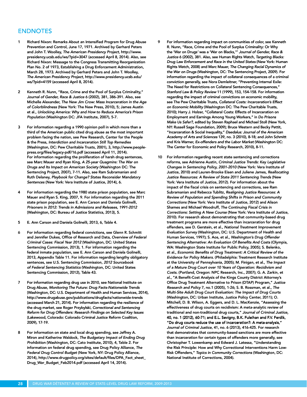#### ENDNOTES

- 1 Richard Nixon: Remarks About an Intensified Program for Drug Abuse Prevention and Control, June 17, 1971. Archived by Gerhard Peters and John T. Woolley, *The American Presidency Project,* [http://www.](http://www.presidency.ucsb.edu/ws/?pid=3047) [presidency.ucsb.edu/ws/?pid=3047](http://www.presidency.ucsb.edu/ws/?pid=3047) (accessed April 8, 2014). Also, see Richard Nixon: Message to the Congress Transmitting Reorganization Plan No. 2 of 1973, Establishing a Drug Enforcement Administration, March 28, 1973. Archived by Gerhard Peters and John T. Woolley, *The American Presidency Project,* [http://www.presidency.ucsb.edu/](http://www.presidency.ucsb.edu/ws/?pid=4159) [ws/?pid=4159](http://www.presidency.ucsb.edu/ws/?pid=4159) (accessed April 8, 2014).
- 2 Kenneth R. Nunn, "Race, Crime and the Pool of Surplus Criminality," *Journal of Gender, Race & Justice* 6 (2002), 381, 386-391. Also, see Michelle Alexander, *The New Jim Crow: Mass Incarceration in the Age of Colorblindness* (New York: The New Press, 2010), 5; James Austin et al., *Unlocking America: Why and How to Reduce America's Prison Population* (Washington DC: JFA Institute, 2007), 5-7.
- 3 For information regarding a 1990 opinion poll in which more than a third of the American public cited drug abuse as the most important problem facing the nation, see Pew Research, Center for the People & the Press, *Interdiction and Incarceration Still Top Remedies*  (Washington, DC: Pew Charitable Trusts, 2001), 3, http://www.peoplepress.org/files/legacy-pdf/16.pdf (accessed April 11, 2014). For information regarding the proliferation of harsh drug sentences, see Marc Mauer and Ryan King, *A 25-year Quagmire: The War on Drugs and Its Impact on American Society* (Washington DC: The Sentencing Project, 2007), 7-11. Also, see Ram Subramanian and Ruth Delaney, *Playbook for Change? States Reconsider Mandatory Sentences* (New York: Vera Institute of Justice, 2014), 6.
- 4 For information regarding the 1980 state prison population, see Marc Mauer and Ryan S. King, 2007, 9. For information regarding the 2011 state prison population, see E. Ann Carson and Daniela Golinelli, *Prisoners in 2012: Trends in Admissions and Releases, 1991-2012*  (Washington, DC: Bureau of Justice Statistics, 2013), 5.
- 5 E. Ann Carson and Daniela Golinelli, 2013, 6, Table 4.
- 6 For information regarding federal convictions, see Glenn R. Schmitt and Jennifer Dukes, Office of Research and Data, *Overview of Federal Criminal Cases: Fiscal Year 2012* (Washington, DC: United States Sentencing Commission, 2013), 1. For information regarding the federal inmate population, see E. Ann Carson and Daniela Golinelli, 2013, Appendix Table 11. For information regarding lengthy obligatory sentences, see U.S. Sentencing Commission, *2012 Sourcebook of Federal Sentencing Statistics* (Washington, DC: United States Sentencing Commission, 2012), Table 43.
- 7 For information regarding drug use in 2010, see National Institute on Drug Abuse, *Monitoring The Future: Drug Facts-Nationwide Trends*  (Washington, DC: U.S. Department of Health and Human Services, 2014), <http://www.drugabuse.gov/publications/drugfacts/nationwide-trends> (accessed March 21, 2014). For information regarding the resilience of the drug market, see Roger Przybylski, *Correctional and Sentencing Reform for Drug Offenders: Research Findings on Selected Key Issues*  (Lakewood, Colorado: Colorado Criminal Justice Reform Coalition, 2009), 17-19.
- 8 For information on state and local drug spending, see Jeffrey A. Miron and Katherine Waldock, *The Budgetary Impact of Ending Drug Prohibition* (Washington, DC: Cato Institute, 2010), 4, Table 2. For information on federal drug spending, see Drug Policy Alliance, *The Federal Drug Control Budget* (New York, NY: Drug Policy Alliance, 2014), http://www.drugpolicy.org/sites/default/files/DPA\_Fact\_sheet\_ Drug\_War\_Budget\_Feb2014.pdf (accessed April 14, 2014).
- For information regarding impact on communities of color, see Kenneth R. Nunn, "Race, Crime and the Pool of Surplus Criminality: Or Why the 'War on Drugs*'* was a 'War on Blacks,'" *Journal of Gender, Race & Justice* 6 (2002), 381. Also, see Human Rights Watch, *Targeting Blacks: Drug Law Enforcement and Race in the United States* (New York: Human Rights Watch, 2008) and Marc Mauer, *The Changing Racial Dynamics of the War on Drugs* (Washington, DC: The Sentencing Project, 2009). For information regarding the impact of collateral consequences of a criminal conviction generally, see Nora Demleitner, "Preventing Internal Exile: The Need for Restrictions on Collateral Sentencing Consequences," *Stanford Law & Policy Review* 11 (1999), 153, 154-158. For information regarding the impact of criminal convictions on economic mobility, see The Pew Charitable Trusts, *Collateral Costs: Incarceration's Effect on Economic Mobility* (Washington DC: The Pew Charitable Trusts, 2010); Harry J. Holzer, "Collateral Costs: Effects of Incarceration on Employment and Earnings Among Young Workers," in *Do Prisons Make Us Safer?,* edited by Steven Raphael and Michael Stoll (New York, NY: Russell Sage Foundation, 2009); Bruce Western and Becky Pettit, "Incarceration & Social Inequality," *Daedalus: Journal of the American Academy of Arts and Sciences* 139, no. 3 (2010), 8-18; and John Schmitt and Kris Warner, *Ex-offenders and the Labor Market* (Washington DC: The Center for Economic and Policy Research, 2010), 8-11.
- 10 For information regarding recent state sentencing and corrections reforms, see Adrienne Austin, *Criminal Justice Trends: Key Legislative Changes in Sentencing Policy, 2001-2010* (New York: Vera Institute of Justice, 2010) and Lauren-Brooke Eisen and Juliene James, *Reallocating Justice Resources: A Review of State 2011 Sentencing Trends* (New York: Vera Institute of Justice, 2012). For information about the impact of the fiscal crisis on sentencing and corrections, see Ram Subramanian and Rebecca Tublitz, *Realigning Justice Resources: A Review of Population and Spending Shifts in Prison and Community Corrections* (New York: Vera Institute of Justice, 2012) and Alison Shames and Michael Woodruff, *The Continuing Fiscal Crisis in Corrections: Setting A New Course* (New York: Vera Institute of Justice, 2010). For research about demonstrating that community-based drug treatment programs are more effective than incarceration for drug offenders, see D. Gerstein, et al., *National Treatment Improvement Evaluation Survey* (Washington, DC: U.S. Department of Health and Human Services, 1997); S. Aos, et al., *Washington's Drug Offender Sentencing Alternative: An Evaluation Of Benefits And Costs* (Olympia, WA: Washington State Institute for Public Policy, 2005); S. Belenko, et al., *Economic Benefits of Drug Treatment: A Critical Review of the Evidence for Policy Makers*. (Philadelphia: Treatment Research Institute at the University of Pennsylvania, 2005); M. Finigan, et al., *The Impact of a Mature Drug Court over 10 Years of Operation: Recidivism and Costs*. (Portland, Oregon: NPC Research, Inc., 2007); G. A. Zarkin, et al., "A Benefit-Cost Analysis of the Kings County District Attorney's Office Drug Treatment Alternative to Prison (DTAP) Program," *Justice Research and Policy* 7, no.1 (2005), 1-26; S. B. Rossman, et al., *The Multi-Site Adult Drug Court Evaluation: The Impact of Drug Courts* (Washington, DC: Urban Institute, Justice Policy Center, 2011); O. Mitchell, D. B. Wilson, A. Eggers, and D. L. MacKenzie, "Assessing the effectiveness of drug courts on recidivism: A meta-analytic review of traditional and non-traditional drug courts," *Journal of Criminal Justice*, 40, no. 1 (2012), 60-71; and E.L. Sevigny, B.K. Fuleihan and F.V. Ferdik, "Do drug courts reduce the use of incarceration?: A meta-analysis," *Journal of Criminal Justice*, 41, no. 6 (2013), 416-425. For research that demonstrates that community-based sanctions are more effective than incarceration for certain types of offenders more generally, see Christopher T. Lowenkamp and Edward J. Latessa, "Understanding Journal of Criminal Justice, 41, no. 6 (2013), 416-425. For research<br>that demonstrates that community-based sanctions are more effective<br>than incarceration for certain types of offenders more generally, see<br>Christopher T. Risk Offenders," *Topics in Community Corrections* (Washington, DC:<br>National Institute of Corrections, 2004). National Institute of Corrections, 2004). traditional and non-traditional drug courts," *Journal of Criminal Justice*,<br>40, no. 1 (2012), 60-71; and E.L. Sevigny, B.K. Fuleihan and F.V. Ferdik,<br>"Do drug courts reduce the use of incarceration?: A meta-analysis,"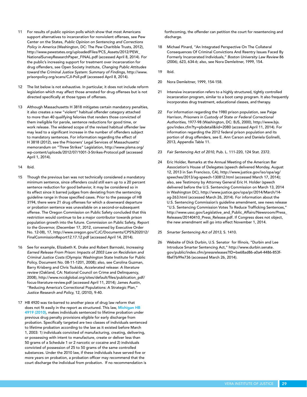- 11 For results of public opinion polls which show that most Americans support alternatives to incarceration for nonviolent offenses, see Pew Center on the States, *Public Opinion on Sentencing and Corrections Policy in America* (Washington, DC: The Pew Charitible Trusts, 2012), [http://www.pewstates.org/uploadedFiles/PCS\\_Assets/2012/PEW\\_](http://www.pewstates.org/uploadedFiles/PCS_Assets/2012/PEW_NationalSurveyResearchPaper_FINAL.pdf) [NationalSurveyResearchPaper\\_FINAL.pdf](http://www.pewstates.org/uploadedFiles/PCS_Assets/2012/PEW_NationalSurveyResearchPaper_FINAL.pdf) (accessed April 8, 2014). For the public's increasing support for treatment over incarceration for drug offenders, see Open Society Institute, *Changing Public Attitudes toward the Criminal Justice System: Summary of Findings,* [http://www.](http://www.prisonpolicy.org/scans/CJI-Poll.pdf) [prisonpolicy.org/scans/CJI-Poll.pdf](http://www.prisonpolicy.org/scans/CJI-Poll.pdf) (accessed April 8, 2014).
- 12 The list below is not exhaustive. In particular, it does not include reform legislation which may affect those arrested for drug offenses but is not directed specifically at those types of offenses.
- 13 Although Massachusetts H 3818 mitigates certain mandatory penalties, it also creates a new "violent" habitual offender category attached to more than 40 qualifying felonies that renders those convicted of them ineligible for parole, sentence reductions for good time, or work release. The widened scope of the revised habitual offender law may lead to a significant increase in the number of offenders subject to mandatory sentences. For information regarding the effect of H 3818 (2012), see the Prisoners' Legal Services of Massachusetts' memorandum on "Three Strikes" Legislation, http://www.plsma.org/ wp-content/uploads/2012/07/1001-3-Strikes-Protocol.pdf (accessed April 1, 2014).
- 14 Ibid.
- 15 Though the previous ban was not technically considered a mandatory minimum sentence, since offenders could still earn up to a 20 percent sentence reduction for good behavior, it may be considered so in its effect since it barred judges from deviating from the sentencing guideline range in those specified cases. Prior to the passage of HB 3194, there were 21 drug offenses for which a downward departure or probation sentence was unavailable on a second-or-subsequent offense. The Oregon Commission on Public Safety concluded that this restriction would continue to be a major contributor towards prison population growth into the future. Commission on Public Safety, *Report to the Governor,* (December 17, 2012, convened by Executive Order No. 12-08), 17, http://www.oregon.gov/CJC/Documents/CPS%202012/ FinalCommissionReport12.17.12.pdf (accessed April 14, 2014).
- 16 See for example, Elizabeth K. Drake and Robert Barnoski, *Increasing Earned Release From Prison: Impacts of 2003 Law on Recidivism and Criminal Justice Costs* (Olympia: Washington State Institute for Public Policy, Document No. 08-11-1201, 2008); also, see Carolina Guzman, Barry Krisberg and Chris Tsukida, *Accelerated release: A literature review* (Oakland, CA: National Council on Crime and Delinquency, 2008), http://www.nccdglobal.org/sites/default/files/publication\_pdf/ focus-literature-review.pdf (accessed April 11, 2014); James Austin, "Reducing America's Correctional Populations: A Strategic Plan," *Justice Research and Policy,* 12, (2010), 9-40.
- 17 HB 4920 was tie-barred to another piece of drug law reform that does not fit easily in the report as structured. This law, Michigan HB 4919 (2010), makes individuals sentenced to lifetime probation under previous drug penalty provisions eligible for early discharge from probation. Specifically targeted are two classes of individuals sentenced to lifetime probation according to the law as it existed before March 1, 2003: 1) individuals convicted of manufacturing, creating, delivering, or possessing with intent to manufacture, create or deliver less than 50 grams of a Schedule 1 or 2 narcotic or cocaine and 2) individuals convicted of possession of 25 to 50 grams of the same controlled substances. Under the 2010 law, if these individuals have served five or more years on probation, a probation officer may recommend that the court discharge the individual from probation. If no recommendation is

forthcoming, the offender can petition the court for resentencing and discharge.

- 18 Michael Pinard, "An Integrated Perspective On The Collateral Consequences Of Criminal Convictions And Reentry Issues Faced By Formerly Incarcerated Individuals," *Boston University Law Review* 86 (2006), 623, 634-6; also, see Nora Demleitner, 1999, 154.
- 19 Ibid.
- 20 Nora Demleitner, 1999, 154-158.
- 21 Intensive incarceration refers to a highly structured, tightly controlled incarceration program, similar to a boot camp program. It also frequently incorporates drug treatment, educational classes, and therapy.
- 22 For information regarding the 1980 prison population, see Paige Harrison, *Prisoners in Custody of State or Federal Correctional Authorities,* 1977-98 (Washington, DC: BJS, 2000), http://www.bjs. gov/index.cfm?ty=pbdetail&iid=2080 (accessed April 11, 2014). For information regarding the 2012 federal prison population and its portion of drug offenders, see E. Ann Carson and Daniela Golinelli, 2013, Appendix Table 11.
- 23 *Fair Sentencing Act of 2010*, Pub. L. 111-220, 124 Stat. 2372.
- 24 Eric Holder, Remarks at the Annual Meeting of the American Bar Association's House of Delegates (speech delivered Monday, August 12, 2013 in San Francisco, CA)*,* [http://www.justice.gov/iso/opa/ag/](http://www.justice.gov/iso/opa/ag/speeches/2013/ag-speech-130812.html) [speeches/2013/ag-speech-130812.html](http://www.justice.gov/iso/opa/ag/speeches/2013/ag-speech-130812.html) (accessed March 17, 2014); also, see Testimony by Attorney General Eric H. Holder (speech delivered before the U.S. Sentencing Commission on March 13, 2014 in Washington DC), [http://www.justice.gov/opa/pr/2014/March/14](http://www.justice.gov/opa/pr/2014/March/14-ag-263.html) [ag-263.html](http://www.justice.gov/opa/pr/2014/March/14-ag-263.html) (accessed March 26, 2014). For information about the U.S. Sentencing Commission's guideline amendment, see news release "U.S. Sentencing Commission Votes To Reduce Trafficking Sentences," http://www.ussc.gov/Legislative\_and\_Public\_Affairs/Newsroom/Press\_ Releases/20140410\_Press\_Release.pdf. If Congress does not object, the new amendment will go into effect November 1, 2014.
- 25 *Smarter Sentencing Act of 2013,* S. 1410.
- 26 Website of Dick Durbin, U.S. Senator for Illinois, "Durbin and Lee Introduce Smarter Sentencing Act," http://www.durbin.senate. gov/public/index.cfm/pressreleases?ID=be68ad86-a0a4-4486-853ff8ef7b99e736 (accessed March 26, 2014).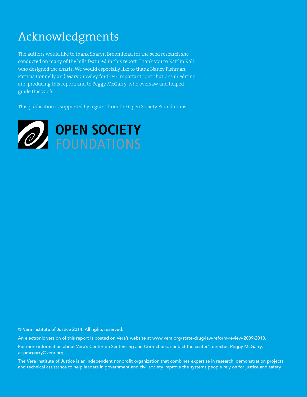### Acknowledgments

The authors would like to thank Sharyn Broomhead for the seed research she conducted on many of the bills featured in this report. Thank you to Kaitlin Kall who designed the charts. We would especially like to thank Nancy Fishman, Patricia Connelly and Mary Crowley for their important contributions in editing and producing this report; and to Peggy McGarry, who oversaw and helped guide this work.

This publication is supported by a grant from the Open Society Foundations .



© Vera Institute of Justice 2014. All rights reserved.

An electronic version of this report is posted on Vera's website at www.vera.org/state-drug-law-reform-review-2009-2013.

For more information about Vera's Center on Sentencing and Corrections, contact the center's director, Peggy McGarry, at pmcgarry@vera.org.

The Vera Institute of Justice is an independent nonprofit organization that combines expertise in research, demonstration projects, and technical assistance to help leaders in government and civil society improve the systems people rely on for justice and safety.